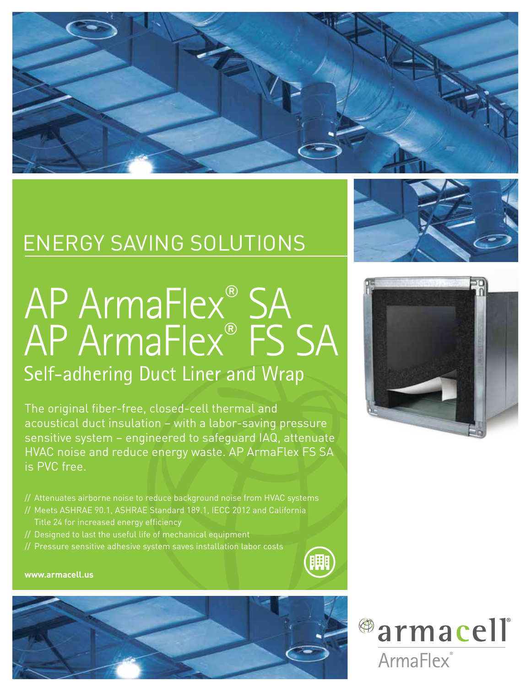

## ENERGY SAVING SOLUTIONS

# AP ArmaFlex<sup>®</sup> SA AP ArmaFlex® FS SA Self-adhering Duct Liner and Wrap

The original fiber-free, closed-cell thermal and acoustical duct insulation – with a labor-saving pressure sensitive system – engineered to safeguard IAQ, attenuate HVAC noise and reduce energy waste. AP ArmaFlex FS SA is PVC free.

- // Attenuates airborne noise to reduce background noise from HVAC systems
- // Meets ASHRAE 90.1, ASHRAE Standard 189.1, IECC 2012 and California Title 24 for increased energy efficiency
- // Designed to last the useful life of mechanical equipment
- // Pressure sensitive adhesive system saves installation labor costs



#### **www.armacell.us**







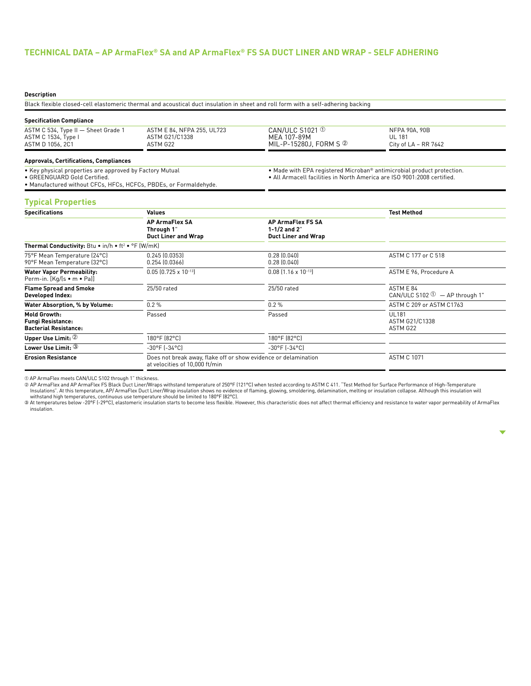### **TECHNICAL DATA – AP ArmaFlex® SA and AP ArmaFlex® FS SA DUCT LINER AND WRAP - SELF ADHERING**

#### **Description**

Black flexible closed-cell elastomeric thermal and acoustical duct insulation in sheet and roll form with a self-adhering backing

#### **Specification Compliance**

| ASTM C 534, Type II - Sheet Grade 1<br>ASTM C 1534, Type I | ASTM E 84. NFPA 255. UL723<br>ASTM G21/C1338 | CAN/ULC $S1021$ $\circ$<br>MEA 107-89M | NFPA 90A, 90B<br>UL 181 |  |
|------------------------------------------------------------|----------------------------------------------|----------------------------------------|-------------------------|--|
| ASTM D 1056, 2C1                                           | ASTM G22                                     | MIL-P-15280J, FORM S ②                 | City of LA – RR 7642    |  |
| Annrovals Certifications Compliances                       |                                              |                                        |                         |  |

#### **Approvals, Certifications, Compliances**

• Key physical properties are approved by Factory Mutual

• GREENGUARD Gold Certified. • Manufactured without CFCs, HFCs, HCFCs, PBDEs, or Formaldehyde. • Made with EPA registered Microban® antimicrobial product protection. • All Armacell facilities in North America are ISO 9001:2008 certified.

#### **Typical Properties**

| <b>Specifications</b>                                                    | <b>Values</b>                                                                                     | <b>Test Method</b>                                                       |                                                        |
|--------------------------------------------------------------------------|---------------------------------------------------------------------------------------------------|--------------------------------------------------------------------------|--------------------------------------------------------|
|                                                                          | <b>AP ArmaFlex SA</b><br>Through 1"<br><b>Duct Liner and Wrap</b>                                 | <b>AP ArmaFlex FS SA</b><br>1-1/2 and $2"$<br><b>Duct Liner and Wrap</b> |                                                        |
| <b>Thermal Conductivity:</b> Btu • in/h • ft <sup>2</sup> • °F (W/mK)    |                                                                                                   |                                                                          |                                                        |
| 75°F Mean Temperature (24°C)<br>90°F Mean Temperature (32°C)             | $0.245$ $(0.0353)$<br>0.254(0.0366)                                                               | $0.28$ $(0.040)$<br>0.28(0.040)                                          | ASTM C 177 or C 518                                    |
| <b>Water Vapor Permeability:</b><br>Perm-in. [Kg/[s • m • Pa]]           | $0.05$ $(0.725 \times 10^{-13})$                                                                  | $0.08$ (1.16 x 10 <sup>-13</sup> )                                       | ASTM E 96, Procedure A                                 |
| <b>Flame Spread and Smoke</b><br>Developed Index:                        | 25/50 rated                                                                                       | 25/50 rated                                                              | ASTM E 84<br>CAN/ULC S102 $\mathbb{D}$ - AP through 1" |
| Water Absorption, % by Volume:                                           | 0.2%                                                                                              | $0.2 \%$                                                                 | ASTM C 209 or ASTM C1763                               |
| Mold Growth:<br><b>Fungi Resistance:</b><br><b>Bacterial Resistance:</b> | Passed                                                                                            | Passed                                                                   | <b>UL181</b><br>ASTM G21/C1338<br>ASTM G22             |
| Upper Use Limit: 2                                                       | 180°F (82°C)                                                                                      | 180°F (82°C)                                                             |                                                        |
| Lower Use Limit: $\mathbb 3$                                             | $-30^{\circ}$ F ( $-34^{\circ}$ C)                                                                | $-30^{\circ}$ F ( $-34^{\circ}$ C)                                       |                                                        |
| <b>Erosion Resistance</b>                                                | Does not break away, flake off or show evidence or delamination<br>at velocities of 10,000 ft/min |                                                                          | <b>ASTM C 1071</b>                                     |

① AP ArmaFlex meets CAN/ULC S102 through 1" thickness.<br>② AP ArmaFlex and AP ArmaFlex FS Black Duct Liner/Wraps withstand temperature of 250°F [121°C] when tested according to ASTM C 411. "Test Method for Surface Performan Insulations". At this temperature, AP/ ArmaFlex Duct Liner/Wrap insulation shows no evidence of flaming, glowing, smoldering, delamination, melting or insulation collapse. Although this insulation will<br>withstand high tempe

insulation.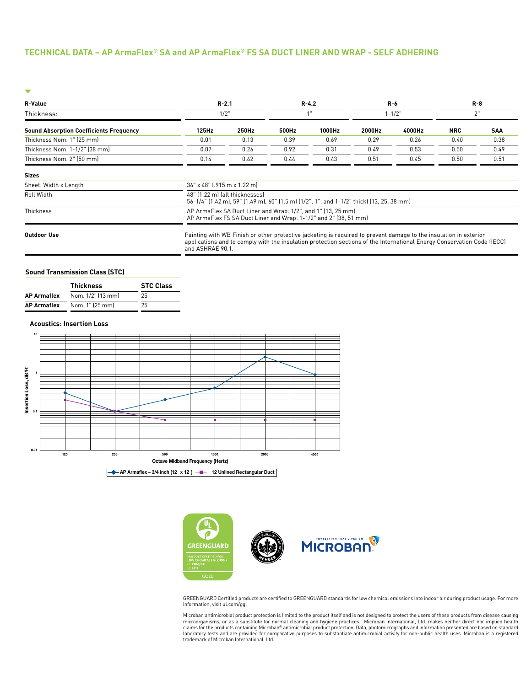#### **TECHNICAL DATA – AP ArmaFlex® SA and AP ArmaFlex® FS SA DUCT LINER AND WRAP - SELF ADHERING**

| <b>R-Value</b>                                 | $R - 2.1$                                                                                                                                                                                                                                                        |       |       | $R - 4.2$ |        | $R-6$      |            | $R - 8$    |
|------------------------------------------------|------------------------------------------------------------------------------------------------------------------------------------------------------------------------------------------------------------------------------------------------------------------|-------|-------|-----------|--------|------------|------------|------------|
| Thickness:                                     |                                                                                                                                                                                                                                                                  | 1/2"  |       |           |        | $1 - 1/2"$ |            | 2"         |
| <b>Sound Absorption Coefficients Frequency</b> | 125Hz                                                                                                                                                                                                                                                            | 250Hz | 500Hz | 1000Hz    | 2000Hz | 4000Hz     | <b>NRC</b> | <b>SAA</b> |
| Thickness Nom. 1" (25 mm)                      | 0.01                                                                                                                                                                                                                                                             | 0.13  | 0.39  | 0.69      | 0.29   | 0.26       | 0.40       | 0.38       |
| Thickness Nom. 1-1/2" (38 mm)                  | 0.07                                                                                                                                                                                                                                                             | 0.26  | 0.92  | 0.31      | 0.49   | 0.53       | 0.50       | 0.49       |
| Thickness Nom. 2" (50 mm)                      | 0.14                                                                                                                                                                                                                                                             | 0.62  | 0.44  | 0.43      | 0.51   | 0.45       | 0.50       | 0.51       |
| <b>Sizes</b>                                   |                                                                                                                                                                                                                                                                  |       |       |           |        |            |            |            |
| Sheet: Width x Length                          | 36" x 48" (.915 m x 1.22 m)                                                                                                                                                                                                                                      |       |       |           |        |            |            |            |
| Roll Width                                     | 48" (1.22 m) (all thicknesses)<br>56-1/4" (1.42 m), 59" (1.49 m), 60" (1.5 m) (1/2", 1", and 1-1/2" thick) (13, 25, 38 mm)                                                                                                                                       |       |       |           |        |            |            |            |
| Thickness                                      | AP ArmaFlex SA Duct Liner and Wrap: 1/2", and 1" (13, 25 mm)<br>AP ArmaFlex FS SA Duct Liner and Wrap: 1-1/2" and 2" (38, 51 mm)                                                                                                                                 |       |       |           |        |            |            |            |
| <b>Outdoor Use</b>                             | Painting with WB Finish or other protective jacketing is required to prevent damage to the insulation in exterior<br>applications and to comply with the insulation protection sections of the International Energy Conservation Code (IECC)<br>and ASHRAE 90.1. |       |       |           |        |            |            |            |

#### **Sound Transmission Class (STC)**

|                    | <b>Thickness</b>  | <b>STC Class</b> |  |  |  |
|--------------------|-------------------|------------------|--|--|--|
| <b>AP Armaflex</b> | Nom. 1/2" (13 mm) | 25               |  |  |  |
| <b>AP Armaflex</b> | Nom. 1" (25 mm)   | 25               |  |  |  |

#### **Acoustics: Insertion Loss**





GREENGUARD Certified products are certified to GREENGUARD standards for low chemical emissions into indoor air during product usage. For more information, visit ul.com/gg.

Microban antimicrobial product protection is limited to the product itself and is not designed to protect the users of these products from disease causing microorganisms, or as a substitute for normal cleaning and hygiene practices. Microban International, Ltd. makes neither direct nor implied health<br>claims for the products containing Microban® antimicrobial product proto in trademark of Microban International, Ltd.